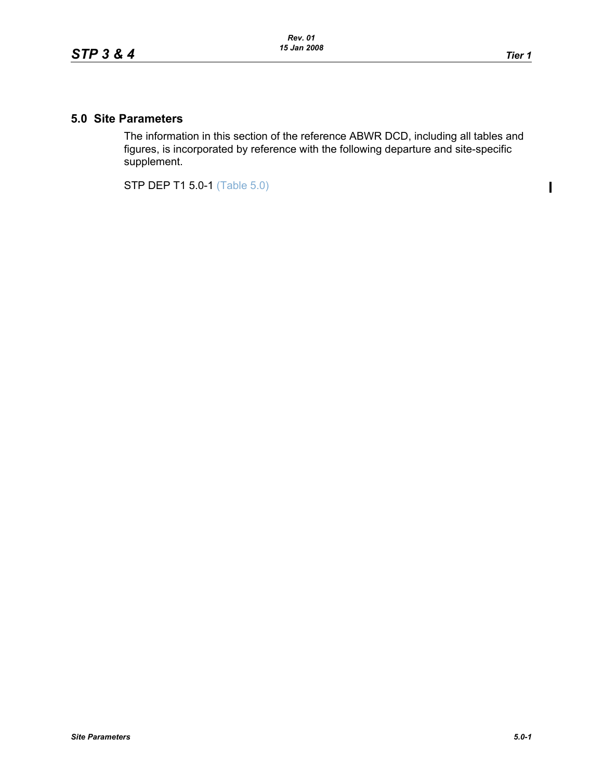$\overline{\mathbf{I}}$ 

## **5.0 Site Parameters**

The information in this section of the reference ABWR DCD, including all tables and figures, is incorporated by reference with the following departure and site-specific supplement.

STP DEP T1 5.0-1 (Table 5.0)